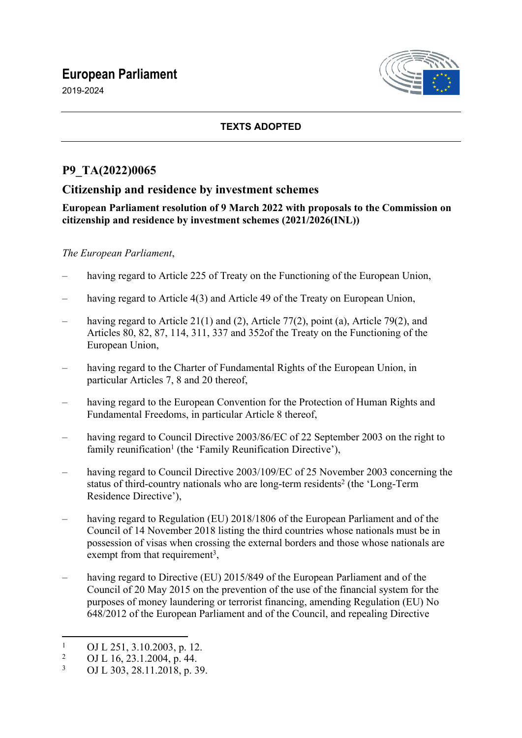# **European Parliament**

2019-2024



## **TEXTS ADOPTED**

## **P9\_TA(2022)0065**

## **Citizenship and residence by investment schemes**

#### **European Parliament resolution of 9 March 2022 with proposals to the Commission on citizenship and residence by investment schemes (2021/2026(INL))**

## *The European Parliament*,

- having regard to Article 225 of Treaty on the Functioning of the European Union,
- having regard to Article 4(3) and Article 49 of the Treaty on European Union,
- having regard to Article 21(1) and (2), Article 77(2), point (a), Article 79(2), and Articles 80, 82, 87, 114, 311, 337 and 352of the Treaty on the Functioning of the European Union,
- having regard to the Charter of Fundamental Rights of the European Union, in particular Articles 7, 8 and 20 thereof,
- having regard to the European Convention for the Protection of Human Rights and Fundamental Freedoms, in particular Article 8 thereof,
- having regard to Council Directive 2003/86/EC of 22 September 2003 on the right to family reunification<sup>1</sup> (the 'Family Reunification Directive'),
- having regard to Council Directive 2003/109/EC of 25 November 2003 concerning the status of third-country nationals who are long-term residents<sup>2</sup> (the 'Long-Term Residence Directive'),
- having regard to Regulation (EU) 2018/1806 of the European Parliament and of the Council of 14 November 2018 listing the third countries whose nationals must be in possession of visas when crossing the external borders and those whose nationals are exempt from that requirement<sup>3</sup>,
- having regard to Directive (EU) 2015/849 of the European Parliament and of the Council of 20 May 2015 on the prevention of the use of the financial system for the purposes of money laundering or terrorist financing, amending Regulation (EU) No 648/2012 of the European Parliament and of the Council, and repealing Directive

<sup>1</sup> OJ L 251, 3.10.2003, p. 12.

<sup>2</sup> OJ L 16, 23.1.2004, p. 44.

<sup>3</sup> OJ L 303, 28.11.2018, p. 39.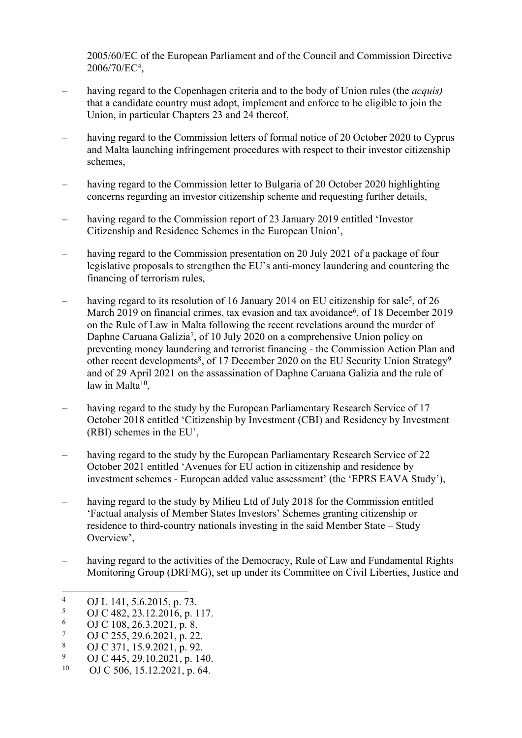2005/60/EC of the European Parliament and of the Council and Commission Directive 2006/70/EC<sup>4</sup> ,

- having regard to the Copenhagen criteria and to the body of Union rules (the *acquis)*  that a candidate country must adopt, implement and enforce to be eligible to join the Union, in particular Chapters 23 and 24 thereof,
- having regard to the Commission letters of formal notice of 20 October 2020 to Cyprus and Malta launching infringement procedures with respect to their investor citizenship schemes,
- having regard to the Commission letter to Bulgaria of 20 October 2020 highlighting concerns regarding an investor citizenship scheme and requesting further details,
- having regard to the Commission report of 23 January 2019 entitled 'Investor Citizenship and Residence Schemes in the European Union',
- having regard to the Commission presentation on 20 July 2021 of a package of four legislative proposals to strengthen the EU's anti-money laundering and countering the financing of terrorism rules,
- having regard to its resolution of 16 January 2014 on EU citizenship for sale<sup>5</sup>, of 26 March 2019 on financial crimes, tax evasion and tax avoidance<sup>6</sup>, of 18 December 2019 on the Rule of Law in Malta following the recent revelations around the murder of Daphne Caruana Galizia<sup>7</sup>, of 10 July 2020 on a comprehensive Union policy on preventing money laundering and terrorist financing - the Commission Action Plan and other recent developments<sup>8</sup>, of 17 December 2020 on the EU Security Union Strategy<sup>9</sup> and of 29 April 2021 on the assassination of Daphne Caruana Galizia and the rule of law in Malta<sup>10</sup>,
- having regard to the study by the European Parliamentary Research Service of 17 October 2018 entitled 'Citizenship by Investment (CBI) and Residency by Investment (RBI) schemes in the EU',
- having regard to the study by the European Parliamentary Research Service of 22 October 2021 entitled 'Avenues for EU action in citizenship and residence by investment schemes - European added value assessment' (the 'EPRS EAVA Study'),
- having regard to the study by Milieu Ltd of July 2018 for the Commission entitled 'Factual analysis of Member States Investors' Schemes granting citizenship or residence to third-country nationals investing in the said Member State – Study Overview',
- having regard to the activities of the Democracy, Rule of Law and Fundamental Rights Monitoring Group (DRFMG), set up under its Committee on Civil Liberties, Justice and

<sup>4</sup> OJ L 141, 5.6.2015, p. 73.

<sup>5</sup> OJ C 482, 23.12.2016, p. 117.

<sup>6</sup> OJ C 108, 26.3.2021, p. 8.

<sup>7</sup> OJ C 255, 29.6.2021, p. 22.

<sup>8</sup> OJ C 371, 15.9.2021, p. 92.

<sup>9</sup> <sup>9</sup> OJ C 445, 29.10.2021, p. 140.<br><sup>10</sup> OJ C 506, 15, 12, 2021, p. 64.

OJ C 506, 15.12.2021, p. 64.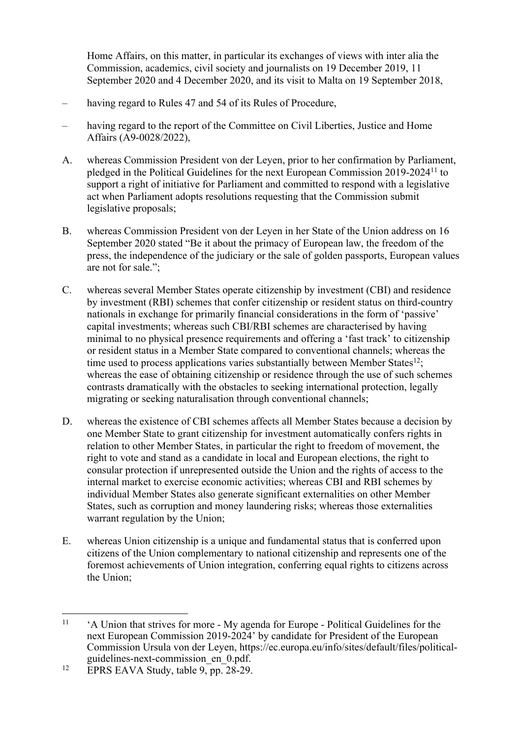Home Affairs, on this matter, in particular its exchanges of views with inter alia the Commission, academics, civil society and journalists on 19 December 2019, 11 September 2020 and 4 December 2020, and its visit to Malta on 19 September 2018,

- having regard to Rules 47 and 54 of its Rules of Procedure,
- having regard to the report of the Committee on Civil Liberties, Justice and Home Affairs (A9-0028/2022),
- A. whereas Commission President von der Leyen, prior to her confirmation by Parliament, pledged in the Political Guidelines for the next European Commission 2019-2024<sup>11</sup> to support a right of initiative for Parliament and committed to respond with a legislative act when Parliament adopts resolutions requesting that the Commission submit legislative proposals;
- B. whereas Commission President von der Leyen in her State of the Union address on 16 September 2020 stated "Be it about the primacy of European law, the freedom of the press, the independence of the judiciary or the sale of golden passports, European values are not for sale.";
- C. whereas several Member States operate citizenship by investment (CBI) and residence by investment (RBI) schemes that confer citizenship or resident status on third-country nationals in exchange for primarily financial considerations in the form of 'passive' capital investments; whereas such CBI/RBI schemes are characterised by having minimal to no physical presence requirements and offering a 'fast track' to citizenship or resident status in a Member State compared to conventional channels; whereas the time used to process applications varies substantially between Member States<sup>12</sup>; whereas the ease of obtaining citizenship or residence through the use of such schemes contrasts dramatically with the obstacles to seeking international protection, legally migrating or seeking naturalisation through conventional channels;
- D. whereas the existence of CBI schemes affects all Member States because a decision by one Member State to grant citizenship for investment automatically confers rights in relation to other Member States, in particular the right to freedom of movement, the right to vote and stand as a candidate in local and European elections, the right to consular protection if unrepresented outside the Union and the rights of access to the internal market to exercise economic activities; whereas CBI and RBI schemes by individual Member States also generate significant externalities on other Member States, such as corruption and money laundering risks; whereas those externalities warrant regulation by the Union;
- E. whereas Union citizenship is a unique and fundamental status that is conferred upon citizens of the Union complementary to national citizenship and represents one of the foremost achievements of Union integration, conferring equal rights to citizens across the Union;

<sup>&</sup>lt;sup>11</sup> 'A Union that strives for more - My agenda for Europe - Political Guidelines for the next European Commission 2019-2024' by candidate for President of the European Commission Ursula von der Leyen, https://ec.europa.eu/info/sites/default/files/politicalguidelines-next-commission\_en\_0.pdf.

<sup>&</sup>lt;sup>12</sup> EPRS EAVA Study, table 9, pp. 28-29.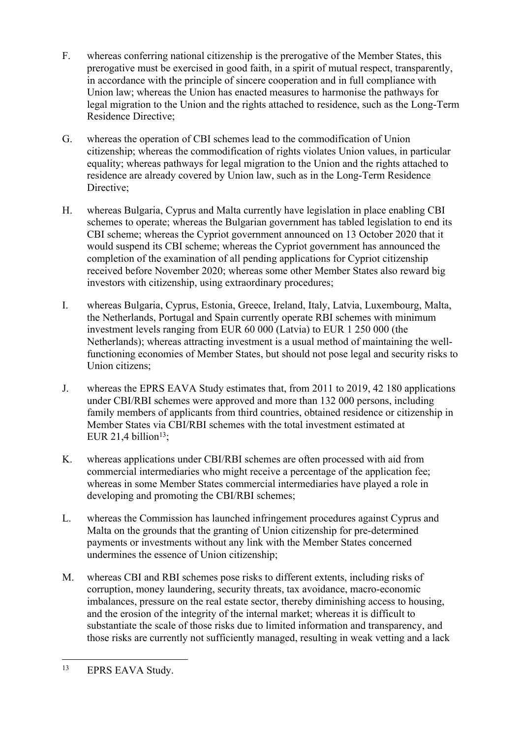- F. whereas conferring national citizenship is the prerogative of the Member States, this prerogative must be exercised in good faith, in a spirit of mutual respect, transparently, in accordance with the principle of sincere cooperation and in full compliance with Union law; whereas the Union has enacted measures to harmonise the pathways for legal migration to the Union and the rights attached to residence, such as the Long-Term Residence Directive;
- G. whereas the operation of CBI schemes lead to the commodification of Union citizenship; whereas the commodification of rights violates Union values, in particular equality; whereas pathways for legal migration to the Union and the rights attached to residence are already covered by Union law, such as in the Long-Term Residence Directive:
- H. whereas Bulgaria, Cyprus and Malta currently have legislation in place enabling CBI schemes to operate; whereas the Bulgarian government has tabled legislation to end its CBI scheme; whereas the Cypriot government announced on 13 October 2020 that it would suspend its CBI scheme; whereas the Cypriot government has announced the completion of the examination of all pending applications for Cypriot citizenship received before November 2020; whereas some other Member States also reward big investors with citizenship, using extraordinary procedures;
- I. whereas Bulgaria, Cyprus, Estonia, Greece, Ireland, Italy, Latvia, Luxembourg, Malta, the Netherlands, Portugal and Spain currently operate RBI schemes with minimum investment levels ranging from EUR 60 000 (Latvia) to EUR 1 250 000 (the Netherlands); whereas attracting investment is a usual method of maintaining the wellfunctioning economies of Member States, but should not pose legal and security risks to Union citizens;
- J. whereas the EPRS EAVA Study estimates that, from 2011 to 2019, 42 180 applications under CBI/RBI schemes were approved and more than 132 000 persons, including family members of applicants from third countries, obtained residence or citizenship in Member States via CBI/RBI schemes with the total investment estimated at EUR 21,4 billion<sup>13</sup>;
- K. whereas applications under CBI/RBI schemes are often processed with aid from commercial intermediaries who might receive a percentage of the application fee; whereas in some Member States commercial intermediaries have played a role in developing and promoting the CBI/RBI schemes;
- L. whereas the Commission has launched infringement procedures against Cyprus and Malta on the grounds that the granting of Union citizenship for pre-determined payments or investments without any link with the Member States concerned undermines the essence of Union citizenship;
- M. whereas CBI and RBI schemes pose risks to different extents, including risks of corruption, money laundering, security threats, tax avoidance, macro-economic imbalances, pressure on the real estate sector, thereby diminishing access to housing, and the erosion of the integrity of the internal market; whereas it is difficult to substantiate the scale of those risks due to limited information and transparency, and those risks are currently not sufficiently managed, resulting in weak vetting and a lack

<sup>13</sup> EPRS EAVA Study.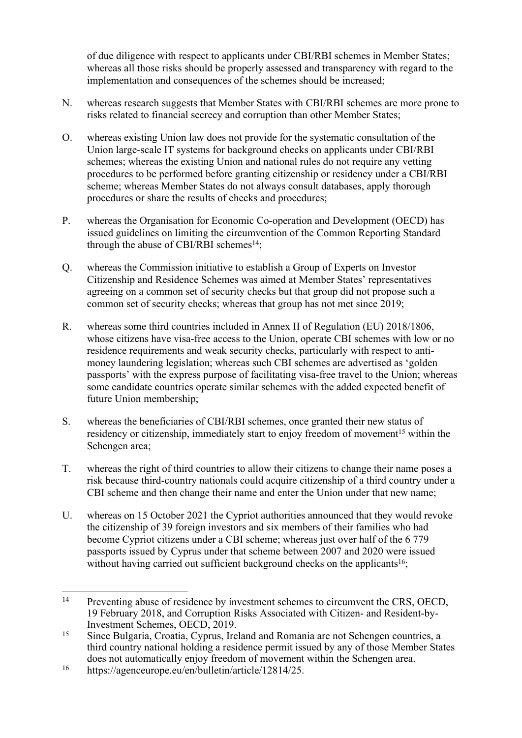of due diligence with respect to applicants under CBI/RBI schemes in Member States; whereas all those risks should be properly assessed and transparency with regard to the implementation and consequences of the schemes should be increased;

- N. whereas research suggests that Member States with CBI/RBI schemes are more prone to risks related to financial secrecy and corruption than other Member States;
- O. whereas existing Union law does not provide for the systematic consultation of the Union large-scale IT systems for background checks on applicants under CBI/RBI schemes; whereas the existing Union and national rules do not require any vetting procedures to be performed before granting citizenship or residency under a CBI/RBI scheme; whereas Member States do not always consult databases, apply thorough procedures or share the results of checks and procedures;
- P. whereas the Organisation for Economic Co-operation and Development (OECD) has issued guidelines on limiting the circumvention of the Common Reporting Standard through the abuse of CBI/RBI schemes<sup>14</sup>;
- Q. whereas the Commission initiative to establish a Group of Experts on Investor Citizenship and Residence Schemes was aimed at Member States' representatives agreeing on a common set of security checks but that group did not propose such a common set of security checks; whereas that group has not met since 2019;
- R. whereas some third countries included in Annex II of Regulation (EU) 2018/1806, whose citizens have visa-free access to the Union, operate CBI schemes with low or no residence requirements and weak security checks, particularly with respect to antimoney laundering legislation; whereas such CBI schemes are advertised as 'golden passports' with the express purpose of facilitating visa-free travel to the Union; whereas some candidate countries operate similar schemes with the added expected benefit of future Union membership;
- S. whereas the beneficiaries of CBI/RBI schemes, once granted their new status of residency or citizenship, immediately start to enjoy freedom of movement<sup>15</sup> within the Schengen area;
- T. whereas the right of third countries to allow their citizens to change their name poses a risk because third-country nationals could acquire citizenship of a third country under a CBI scheme and then change their name and enter the Union under that new name;
- U. whereas on 15 October 2021 the Cypriot authorities announced that they would revoke the citizenship of 39 foreign investors and six members of their families who had become Cypriot citizens under a CBI scheme; whereas just over half of the 6 779 passports issued by Cyprus under that scheme between 2007 and 2020 were issued without having carried out sufficient background checks on the applicants<sup>16</sup>;

<sup>&</sup>lt;sup>14</sup> Preventing abuse of residence by investment schemes to circumvent the CRS, OECD, 19 February 2018, and Corruption Risks Associated with Citizen- and Resident-by-Investment Schemes, OECD, 2019.

<sup>15</sup> Since Bulgaria, Croatia, Cyprus, Ireland and Romania are not Schengen countries, a third country national holding a residence permit issued by any of those Member States does not automatically enjoy freedom of movement within the Schengen area.

<sup>16</sup> https://agenceurope.eu/en/bulletin/article/12814/25.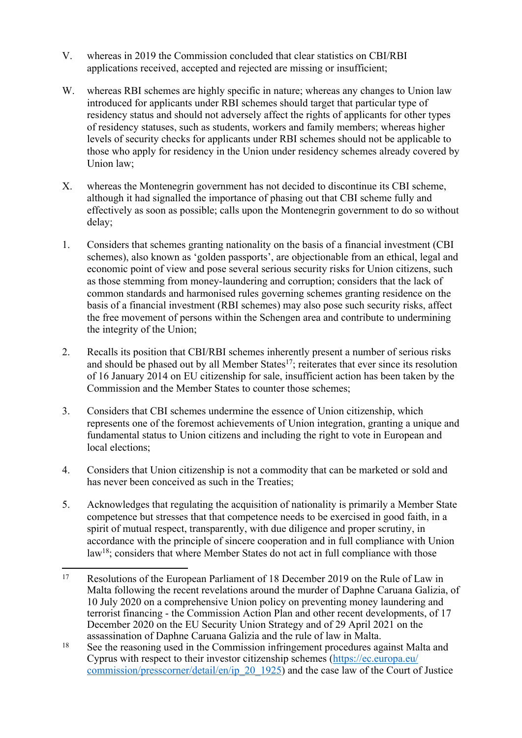- V. whereas in 2019 the Commission concluded that clear statistics on CBI/RBI applications received, accepted and rejected are missing or insufficient;
- W. whereas RBI schemes are highly specific in nature; whereas any changes to Union law introduced for applicants under RBI schemes should target that particular type of residency status and should not adversely affect the rights of applicants for other types of residency statuses, such as students, workers and family members; whereas higher levels of security checks for applicants under RBI schemes should not be applicable to those who apply for residency in the Union under residency schemes already covered by Union law;
- X. whereas the Montenegrin government has not decided to discontinue its CBI scheme, although it had signalled the importance of phasing out that CBI scheme fully and effectively as soon as possible; calls upon the Montenegrin government to do so without delay;
- 1. Considers that schemes granting nationality on the basis of a financial investment (CBI schemes), also known as 'golden passports', are objectionable from an ethical, legal and economic point of view and pose several serious security risks for Union citizens, such as those stemming from money-laundering and corruption; considers that the lack of common standards and harmonised rules governing schemes granting residence on the basis of a financial investment (RBI schemes) may also pose such security risks, affect the free movement of persons within the Schengen area and contribute to undermining the integrity of the Union;
- 2. Recalls its position that CBI/RBI schemes inherently present a number of serious risks and should be phased out by all Member States<sup>17</sup>; reiterates that ever since its resolution of 16 January 2014 on EU citizenship for sale, insufficient action has been taken by the Commission and the Member States to counter those schemes;
- 3. Considers that CBI schemes undermine the essence of Union citizenship, which represents one of the foremost achievements of Union integration, granting a unique and fundamental status to Union citizens and including the right to vote in European and local elections;
- 4. Considers that Union citizenship is not a commodity that can be marketed or sold and has never been conceived as such in the Treaties;
- 5. Acknowledges that regulating the acquisition of nationality is primarily a Member State competence but stresses that that competence needs to be exercised in good faith, in a spirit of mutual respect, transparently, with due diligence and proper scrutiny, in accordance with the principle of sincere cooperation and in full compliance with Union law<sup>18</sup>; considers that where Member States do not act in full compliance with those

<sup>17</sup> Resolutions of the European Parliament of 18 December 2019 on the Rule of Law in Malta following the recent revelations around the murder of Daphne Caruana Galizia, of 10 July 2020 on a comprehensive Union policy on preventing money laundering and terrorist financing - the Commission Action Plan and other recent developments, of 17 December 2020 on the EU Security Union Strategy and of 29 April 2021 on the assassination of Daphne Caruana Galizia and the rule of law in Malta.

<sup>&</sup>lt;sup>18</sup> See the reasoning used in the Commission infringement procedures against Malta and Cyprus with respect to their investor citizenship schemes ([https://ec.europa.eu/](https://ec.europa.eu/commission/presscorner/detail/en/ip_20_1925) [commission/presscorner/detail/en/ip\\_20\\_1925](https://ec.europa.eu/commission/presscorner/detail/en/ip_20_1925)) and the case law of the Court of Justice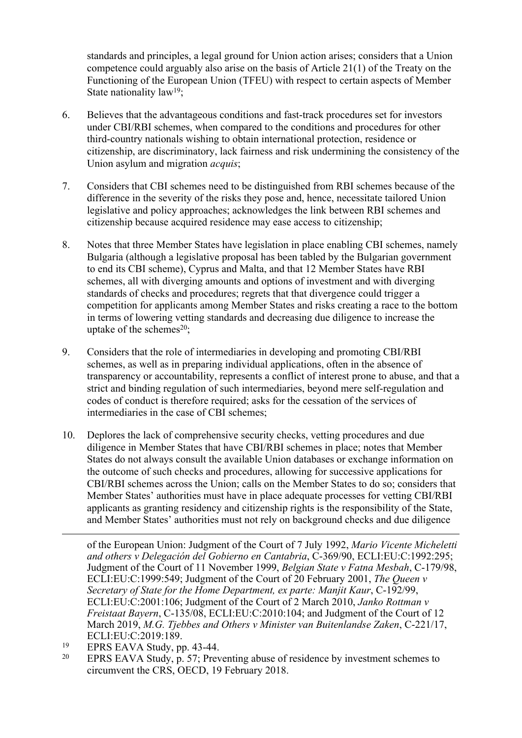standards and principles, a legal ground for Union action arises; considers that a Union competence could arguably also arise on the basis of Article 21(1) of the Treaty on the Functioning of the European Union (TFEU) with respect to certain aspects of Member State nationality law<sup>19</sup>;

- 6. Believes that the advantageous conditions and fast-track procedures set for investors under CBI/RBI schemes, when compared to the conditions and procedures for other third-country nationals wishing to obtain international protection, residence or citizenship, are discriminatory, lack fairness and risk undermining the consistency of the Union asylum and migration *acquis*;
- 7. Considers that CBI schemes need to be distinguished from RBI schemes because of the difference in the severity of the risks they pose and, hence, necessitate tailored Union legislative and policy approaches; acknowledges the link between RBI schemes and citizenship because acquired residence may ease access to citizenship;
- 8. Notes that three Member States have legislation in place enabling CBI schemes, namely Bulgaria (although a legislative proposal has been tabled by the Bulgarian government to end its CBI scheme), Cyprus and Malta, and that 12 Member States have RBI schemes, all with diverging amounts and options of investment and with diverging standards of checks and procedures; regrets that that divergence could trigger a competition for applicants among Member States and risks creating a race to the bottom in terms of lowering vetting standards and decreasing due diligence to increase the uptake of the schemes<sup>20</sup>;
- 9. Considers that the role of intermediaries in developing and promoting CBI/RBI schemes, as well as in preparing individual applications, often in the absence of transparency or accountability, represents a conflict of interest prone to abuse, and that a strict and binding regulation of such intermediaries, beyond mere self-regulation and codes of conduct is therefore required; asks for the cessation of the services of intermediaries in the case of CBI schemes;
- 10. Deplores the lack of comprehensive security checks, vetting procedures and due diligence in Member States that have CBI/RBI schemes in place; notes that Member States do not always consult the available Union databases or exchange information on the outcome of such checks and procedures, allowing for successive applications for CBI/RBI schemes across the Union; calls on the Member States to do so; considers that Member States' authorities must have in place adequate processes for vetting CBI/RBI applicants as granting residency and citizenship rights is the responsibility of the State, and Member States' authorities must not rely on background checks and due diligence

of the European Union: Judgment of the Court of 7 July 1992, *Mario Vicente Micheletti and others v Delegación del Gobierno en Cantabria*, C-369/90, ECLI:EU:C:1992:295; Judgment of the Court of 11 November 1999, *Belgian State v Fatna Mesbah*, C-179/98, ECLI:EU:C:1999:549; Judgment of the Court of 20 February 2001, *The Queen v Secretary of State for the Home Department, ex parte: Manjit Kaur*, C-192/99, ECLI:EU:C:2001:106; Judgment of the Court of 2 March 2010, *Janko Rottman v Freistaat Bayern*, C-135/08, ECLI:EU:C:2010:104; and Judgment of the Court of 12 March 2019, *M.G. Tjebbes and Others v Minister van Buitenlandse Zaken*, C-221/17, ECLI:EU:C:2019:189.

<sup>&</sup>lt;sup>19</sup> EPRS EAVA Study, pp. 43-44.<br><sup>20</sup> EPRS EAVA Study, p. 57: Prev

EPRS EAVA Study, p. 57; Preventing abuse of residence by investment schemes to circumvent the CRS, OECD, 19 February 2018.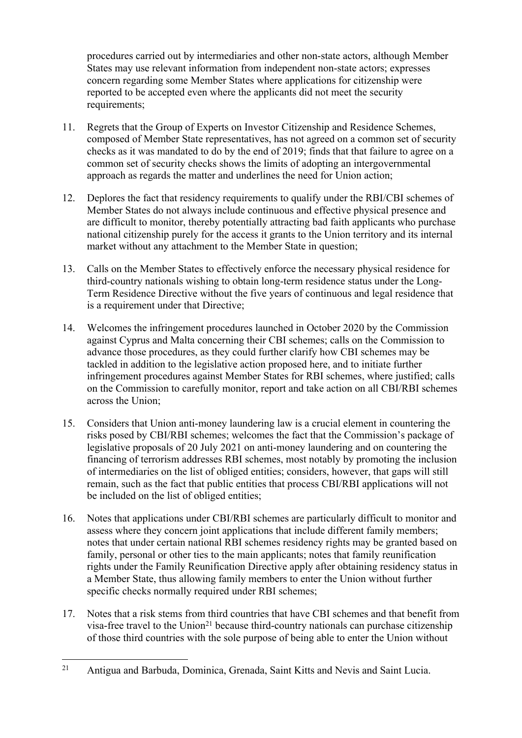procedures carried out by intermediaries and other non-state actors, although Member States may use relevant information from independent non-state actors; expresses concern regarding some Member States where applications for citizenship were reported to be accepted even where the applicants did not meet the security requirements;

- 11. Regrets that the Group of Experts on Investor Citizenship and Residence Schemes, composed of Member State representatives, has not agreed on a common set of security checks as it was mandated to do by the end of 2019; finds that that failure to agree on a common set of security checks shows the limits of adopting an intergovernmental approach as regards the matter and underlines the need for Union action;
- 12. Deplores the fact that residency requirements to qualify under the RBI/CBI schemes of Member States do not always include continuous and effective physical presence and are difficult to monitor, thereby potentially attracting bad faith applicants who purchase national citizenship purely for the access it grants to the Union territory and its internal market without any attachment to the Member State in question;
- 13. Calls on the Member States to effectively enforce the necessary physical residence for third-country nationals wishing to obtain long-term residence status under the Long-Term Residence Directive without the five years of continuous and legal residence that is a requirement under that Directive;
- 14. Welcomes the infringement procedures launched in October 2020 by the Commission against Cyprus and Malta concerning their CBI schemes; calls on the Commission to advance those procedures, as they could further clarify how CBI schemes may be tackled in addition to the legislative action proposed here, and to initiate further infringement procedures against Member States for RBI schemes, where justified; calls on the Commission to carefully monitor, report and take action on all CBI/RBI schemes across the Union;
- 15. Considers that Union anti-money laundering law is a crucial element in countering the risks posed by CBI/RBI schemes; welcomes the fact that the Commission's package of legislative proposals of 20 July 2021 on anti-money laundering and on countering the financing of terrorism addresses RBI schemes, most notably by promoting the inclusion of intermediaries on the list of obliged entities; considers, however, that gaps will still remain, such as the fact that public entities that process CBI/RBI applications will not be included on the list of obliged entities;
- 16. Notes that applications under CBI/RBI schemes are particularly difficult to monitor and assess where they concern joint applications that include different family members; notes that under certain national RBI schemes residency rights may be granted based on family, personal or other ties to the main applicants; notes that family reunification rights under the Family Reunification Directive apply after obtaining residency status in a Member State, thus allowing family members to enter the Union without further specific checks normally required under RBI schemes;
- 17. Notes that a risk stems from third countries that have CBI schemes and that benefit from visa-free travel to the Union<sup>21</sup> because third-country nationals can purchase citizenship of those third countries with the sole purpose of being able to enter the Union without

<sup>21</sup> Antigua and Barbuda, Dominica, Grenada, Saint Kitts and Nevis and Saint Lucia.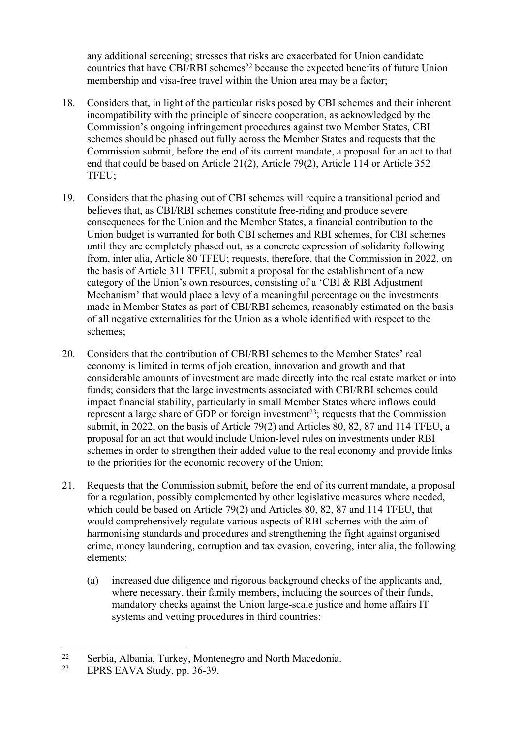any additional screening; stresses that risks are exacerbated for Union candidate countries that have CBI/RBI schemes<sup>22</sup> because the expected benefits of future Union membership and visa-free travel within the Union area may be a factor;

- 18. Considers that, in light of the particular risks posed by CBI schemes and their inherent incompatibility with the principle of sincere cooperation, as acknowledged by the Commission's ongoing infringement procedures against two Member States, CBI schemes should be phased out fully across the Member States and requests that the Commission submit, before the end of its current mandate, a proposal for an act to that end that could be based on Article 21(2), Article 79(2), Article 114 or Article 352 TFEU;
- 19. Considers that the phasing out of CBI schemes will require a transitional period and believes that, as CBI/RBI schemes constitute free-riding and produce severe consequences for the Union and the Member States, a financial contribution to the Union budget is warranted for both CBI schemes and RBI schemes, for CBI schemes until they are completely phased out, as a concrete expression of solidarity following from, inter alia, Article 80 TFEU; requests, therefore, that the Commission in 2022, on the basis of Article 311 TFEU, submit a proposal for the establishment of a new category of the Union's own resources, consisting of a 'CBI & RBI Adjustment Mechanism' that would place a levy of a meaningful percentage on the investments made in Member States as part of CBI/RBI schemes, reasonably estimated on the basis of all negative externalities for the Union as a whole identified with respect to the schemes;
- 20. Considers that the contribution of CBI/RBI schemes to the Member States' real economy is limited in terms of job creation, innovation and growth and that considerable amounts of investment are made directly into the real estate market or into funds; considers that the large investments associated with CBI/RBI schemes could impact financial stability, particularly in small Member States where inflows could represent a large share of GDP or foreign investment<sup>23</sup>; requests that the Commission submit, in 2022, on the basis of Article 79(2) and Articles 80, 82, 87 and 114 TFEU, a proposal for an act that would include Union-level rules on investments under RBI schemes in order to strengthen their added value to the real economy and provide links to the priorities for the economic recovery of the Union;
- 21. Requests that the Commission submit, before the end of its current mandate, a proposal for a regulation, possibly complemented by other legislative measures where needed, which could be based on Article 79(2) and Articles 80, 82, 87 and 114 TFEU, that would comprehensively regulate various aspects of RBI schemes with the aim of harmonising standards and procedures and strengthening the fight against organised crime, money laundering, corruption and tax evasion, covering, inter alia, the following elements:
	- (a) increased due diligence and rigorous background checks of the applicants and, where necessary, their family members, including the sources of their funds, mandatory checks against the Union large-scale justice and home affairs IT systems and vetting procedures in third countries;

<sup>&</sup>lt;sup>22</sup> Serbia, Albania, Turkey, Montenegro and North Macedonia.<br><sup>23</sup> EPRS EAVA Study pp. 36.30

EPRS EAVA Study, pp. 36-39.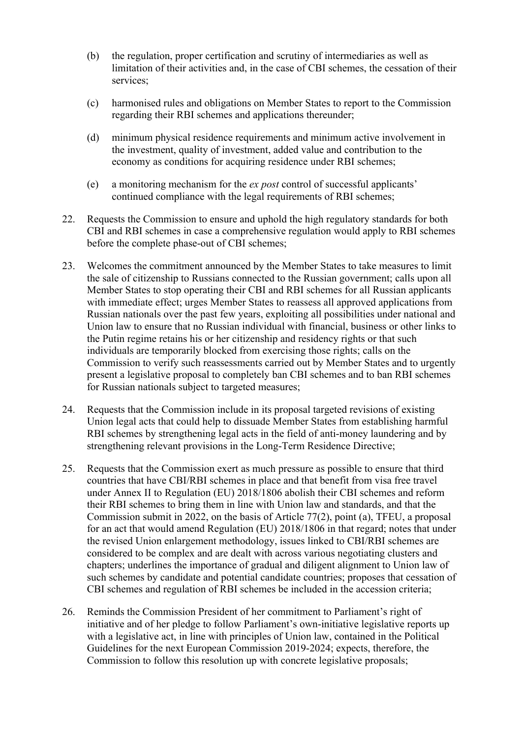- (b) the regulation, proper certification and scrutiny of intermediaries as well as limitation of their activities and, in the case of CBI schemes, the cessation of their services;
- (c) harmonised rules and obligations on Member States to report to the Commission regarding their RBI schemes and applications thereunder;
- (d) minimum physical residence requirements and minimum active involvement in the investment, quality of investment, added value and contribution to the economy as conditions for acquiring residence under RBI schemes;
- (e) a monitoring mechanism for the *ex post* control of successful applicants' continued compliance with the legal requirements of RBI schemes;
- 22. Requests the Commission to ensure and uphold the high regulatory standards for both CBI and RBI schemes in case a comprehensive regulation would apply to RBI schemes before the complete phase-out of CBI schemes;
- 23. Welcomes the commitment announced by the Member States to take measures to limit the sale of citizenship to Russians connected to the Russian government; calls upon all Member States to stop operating their CBI and RBI schemes for all Russian applicants with immediate effect; urges Member States to reassess all approved applications from Russian nationals over the past few years, exploiting all possibilities under national and Union law to ensure that no Russian individual with financial, business or other links to the Putin regime retains his or her citizenship and residency rights or that such individuals are temporarily blocked from exercising those rights; calls on the Commission to verify such reassessments carried out by Member States and to urgently present a legislative proposal to completely ban CBI schemes and to ban RBI schemes for Russian nationals subject to targeted measures;
- 24. Requests that the Commission include in its proposal targeted revisions of existing Union legal acts that could help to dissuade Member States from establishing harmful RBI schemes by strengthening legal acts in the field of anti-money laundering and by strengthening relevant provisions in the Long-Term Residence Directive;
- 25. Requests that the Commission exert as much pressure as possible to ensure that third countries that have CBI/RBI schemes in place and that benefit from visa free travel under Annex II to Regulation (EU) 2018/1806 abolish their CBI schemes and reform their RBI schemes to bring them in line with Union law and standards, and that the Commission submit in 2022, on the basis of Article 77(2), point (a), TFEU, a proposal for an act that would amend Regulation (EU) 2018/1806 in that regard; notes that under the revised Union enlargement methodology, issues linked to CBI/RBI schemes are considered to be complex and are dealt with across various negotiating clusters and chapters; underlines the importance of gradual and diligent alignment to Union law of such schemes by candidate and potential candidate countries; proposes that cessation of CBI schemes and regulation of RBI schemes be included in the accession criteria;
- 26. Reminds the Commission President of her commitment to Parliament's right of initiative and of her pledge to follow Parliament's own-initiative legislative reports up with a legislative act, in line with principles of Union law, contained in the Political Guidelines for the next European Commission 2019-2024; expects, therefore, the Commission to follow this resolution up with concrete legislative proposals;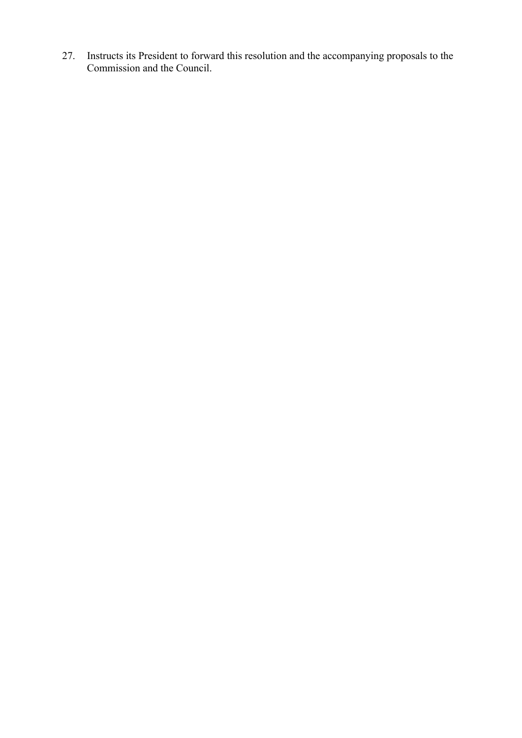27. Instructs its President to forward this resolution and the accompanying proposals to the Commission and the Council.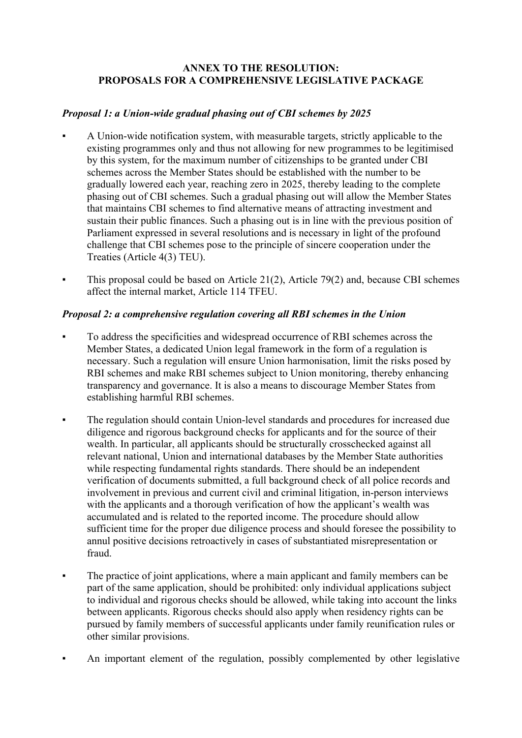#### **ANNEX TO THE RESOLUTION: PROPOSALS FOR A COMPREHENSIVE LEGISLATIVE PACKAGE**

#### *Proposal 1: a Union-wide gradual phasing out of CBI schemes by 2025*

- A Union-wide notification system, with measurable targets, strictly applicable to the existing programmes only and thus not allowing for new programmes to be legitimised by this system, for the maximum number of citizenships to be granted under CBI schemes across the Member States should be established with the number to be gradually lowered each year, reaching zero in 2025, thereby leading to the complete phasing out of CBI schemes. Such a gradual phasing out will allow the Member States that maintains CBI schemes to find alternative means of attracting investment and sustain their public finances. Such a phasing out is in line with the previous position of Parliament expressed in several resolutions and is necessary in light of the profound challenge that CBI schemes pose to the principle of sincere cooperation under the Treaties (Article 4(3) TEU).
- This proposal could be based on Article  $21(2)$ , Article 79(2) and, because CBI schemes affect the internal market, Article 114 TFEU.

#### *Proposal 2: a comprehensive regulation covering all RBI schemes in the Union*

- To address the specificities and widespread occurrence of RBI schemes across the Member States, a dedicated Union legal framework in the form of a regulation is necessary. Such a regulation will ensure Union harmonisation, limit the risks posed by RBI schemes and make RBI schemes subject to Union monitoring, thereby enhancing transparency and governance. It is also a means to discourage Member States from establishing harmful RBI schemes.
- The regulation should contain Union-level standards and procedures for increased due diligence and rigorous background checks for applicants and for the source of their wealth. In particular, all applicants should be structurally crosschecked against all relevant national, Union and international databases by the Member State authorities while respecting fundamental rights standards. There should be an independent verification of documents submitted, a full background check of all police records and involvement in previous and current civil and criminal litigation, in-person interviews with the applicants and a thorough verification of how the applicant's wealth was accumulated and is related to the reported income. The procedure should allow sufficient time for the proper due diligence process and should foresee the possibility to annul positive decisions retroactively in cases of substantiated misrepresentation or fraud.
- The practice of joint applications, where a main applicant and family members can be part of the same application, should be prohibited: only individual applications subject to individual and rigorous checks should be allowed, while taking into account the links between applicants. Rigorous checks should also apply when residency rights can be pursued by family members of successful applicants under family reunification rules or other similar provisions.
- An important element of the regulation, possibly complemented by other legislative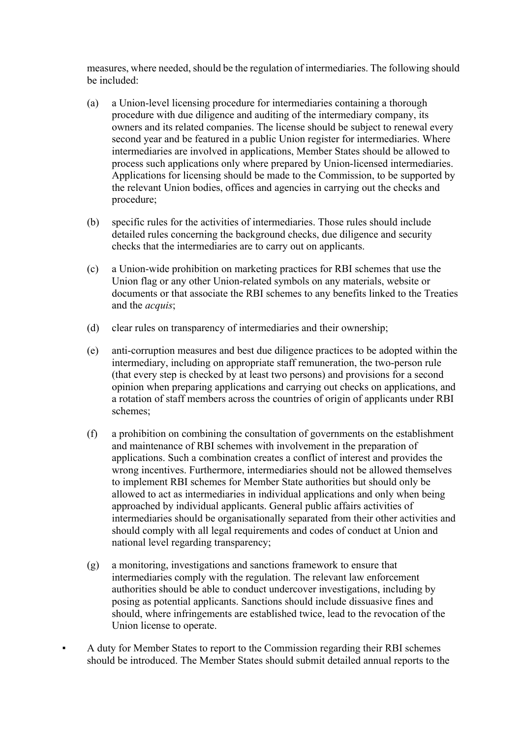measures, where needed, should be the regulation of intermediaries. The following should be included:

- (a) a Union-level licensing procedure for intermediaries containing a thorough procedure with due diligence and auditing of the intermediary company, its owners and its related companies. The license should be subject to renewal every second year and be featured in a public Union register for intermediaries. Where intermediaries are involved in applications, Member States should be allowed to process such applications only where prepared by Union-licensed intermediaries. Applications for licensing should be made to the Commission, to be supported by the relevant Union bodies, offices and agencies in carrying out the checks and procedure;
- (b) specific rules for the activities of intermediaries. Those rules should include detailed rules concerning the background checks, due diligence and security checks that the intermediaries are to carry out on applicants.
- (c) a Union-wide prohibition on marketing practices for RBI schemes that use the Union flag or any other Union-related symbols on any materials, website or documents or that associate the RBI schemes to any benefits linked to the Treaties and the *acquis*;
- (d) clear rules on transparency of intermediaries and their ownership;
- (e) anti-corruption measures and best due diligence practices to be adopted within the intermediary, including on appropriate staff remuneration, the two-person rule (that every step is checked by at least two persons) and provisions for a second opinion when preparing applications and carrying out checks on applications, and a rotation of staff members across the countries of origin of applicants under RBI schemes;
- (f) a prohibition on combining the consultation of governments on the establishment and maintenance of RBI schemes with involvement in the preparation of applications. Such a combination creates a conflict of interest and provides the wrong incentives. Furthermore, intermediaries should not be allowed themselves to implement RBI schemes for Member State authorities but should only be allowed to act as intermediaries in individual applications and only when being approached by individual applicants. General public affairs activities of intermediaries should be organisationally separated from their other activities and should comply with all legal requirements and codes of conduct at Union and national level regarding transparency;
- (g) a monitoring, investigations and sanctions framework to ensure that intermediaries comply with the regulation. The relevant law enforcement authorities should be able to conduct undercover investigations, including by posing as potential applicants. Sanctions should include dissuasive fines and should, where infringements are established twice, lead to the revocation of the Union license to operate.
- A duty for Member States to report to the Commission regarding their RBI schemes should be introduced. The Member States should submit detailed annual reports to the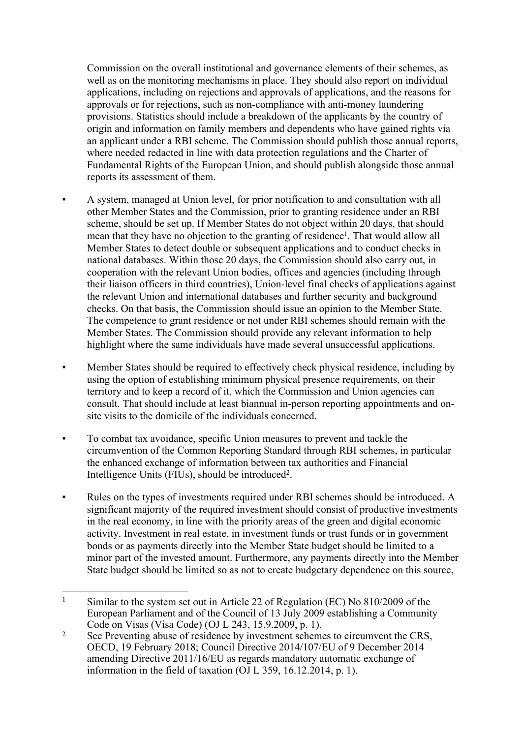Commission on the overall institutional and governance elements of their schemes, as well as on the monitoring mechanisms in place. They should also report on individual applications, including on rejections and approvals of applications, and the reasons for approvals or for rejections, such as non-compliance with anti-money laundering provisions. Statistics should include a breakdown of the applicants by the country of origin and information on family members and dependents who have gained rights via an applicant under a RBI scheme. The Commission should publish those annual reports, where needed redacted in line with data protection regulations and the Charter of Fundamental Rights of the European Union, and should publish alongside those annual reports its assessment of them.

- A system, managed at Union level, for prior notification to and consultation with all other Member States and the Commission, prior to granting residence under an RBI scheme, should be set up. If Member States do not object within 20 days, that should mean that they have no objection to the granting of residence<sup>1</sup>. That would allow all Member States to detect double or subsequent applications and to conduct checks in national databases. Within those 20 days, the Commission should also carry out, in cooperation with the relevant Union bodies, offices and agencies (including through their liaison officers in third countries), Union-level final checks of applications against the relevant Union and international databases and further security and background checks. On that basis, the Commission should issue an opinion to the Member State. The competence to grant residence or not under RBI schemes should remain with the Member States. The Commission should provide any relevant information to help highlight where the same individuals have made several unsuccessful applications.
- Member States should be required to effectively check physical residence, including by using the option of establishing minimum physical presence requirements, on their territory and to keep a record of it, which the Commission and Union agencies can consult. That should include at least biannual in-person reporting appointments and onsite visits to the domicile of the individuals concerned.
- To combat tax avoidance, specific Union measures to prevent and tackle the circumvention of the Common Reporting Standard through RBI schemes, in particular the enhanced exchange of information between tax authorities and Financial Intelligence Units (FIUs), should be introduced<sup>2</sup>.
- Rules on the types of investments required under RBI schemes should be introduced. A significant majority of the required investment should consist of productive investments in the real economy, in line with the priority areas of the green and digital economic activity. Investment in real estate, in investment funds or trust funds or in government bonds or as payments directly into the Member State budget should be limited to a minor part of the invested amount. Furthermore, any payments directly into the Member State budget should be limited so as not to create budgetary dependence on this source,

<sup>1</sup> Similar to the system set out in Article 22 of Regulation (EC) No 810/2009 of the European Parliament and of the Council of 13 July 2009 establishing a Community Code on Visas (Visa Code) (OJ L 243, 15.9.2009, p. 1).

<sup>2</sup> See Preventing abuse of residence by investment schemes to circumvent the CRS, OECD, 19 February 2018; Council Directive 2014/107/EU of 9 December 2014 amending Directive 2011/16/EU as regards mandatory automatic exchange of information in the field of taxation (OJ L 359, 16.12.2014, p. 1).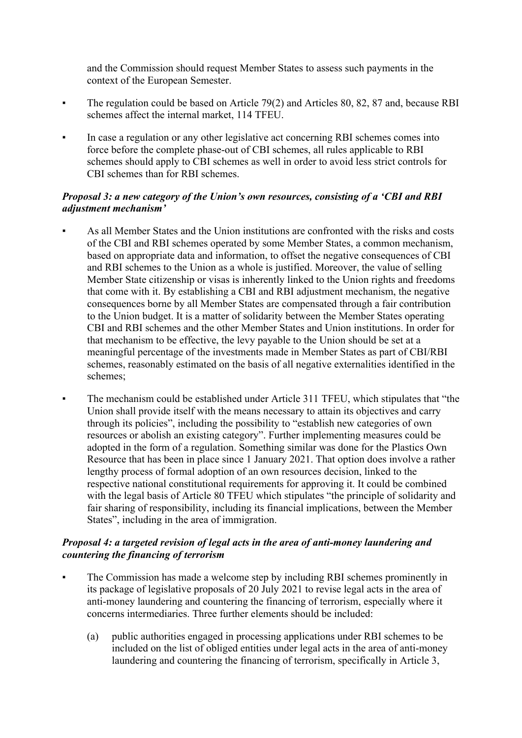and the Commission should request Member States to assess such payments in the context of the European Semester.

- **•** The regulation could be based on Article 79(2) and Articles 80, 82, 87 and, because RBI schemes affect the internal market, 114 TFEU.
- In case a regulation or any other legislative act concerning RBI schemes comes into force before the complete phase-out of CBI schemes, all rules applicable to RBI schemes should apply to CBI schemes as well in order to avoid less strict controls for CBI schemes than for RBI schemes.

#### *Proposal 3: a new category of the Union's own resources, consisting of a 'CBI and RBI adjustment mechanism'*

- As all Member States and the Union institutions are confronted with the risks and costs of the CBI and RBI schemes operated by some Member States, a common mechanism, based on appropriate data and information, to offset the negative consequences of CBI and RBI schemes to the Union as a whole is justified. Moreover, the value of selling Member State citizenship or visas is inherently linked to the Union rights and freedoms that come with it. By establishing a CBI and RBI adjustment mechanism, the negative consequences borne by all Member States are compensated through a fair contribution to the Union budget. It is a matter of solidarity between the Member States operating CBI and RBI schemes and the other Member States and Union institutions. In order for that mechanism to be effective, the levy payable to the Union should be set at a meaningful percentage of the investments made in Member States as part of CBI/RBI schemes, reasonably estimated on the basis of all negative externalities identified in the schemes;
- **•** The mechanism could be established under Article 311 TFEU, which stipulates that "the Union shall provide itself with the means necessary to attain its objectives and carry through its policies", including the possibility to "establish new categories of own resources or abolish an existing category". Further implementing measures could be adopted in the form of a regulation. Something similar was done for the Plastics Own Resource that has been in place since 1 January 2021. That option does involve a rather lengthy process of formal adoption of an own resources decision, linked to the respective national constitutional requirements for approving it. It could be combined with the legal basis of Article 80 TFEU which stipulates "the principle of solidarity and fair sharing of responsibility, including its financial implications, between the Member States", including in the area of immigration.

#### *Proposal 4: a targeted revision of legal acts in the area of anti-money laundering and countering the financing of terrorism*

- The Commission has made a welcome step by including RBI schemes prominently in its package of legislative proposals of 20 July 2021 to revise legal acts in the area of anti-money laundering and countering the financing of terrorism, especially where it concerns intermediaries. Three further elements should be included:
	- (a) public authorities engaged in processing applications under RBI schemes to be included on the list of obliged entities under legal acts in the area of anti-money laundering and countering the financing of terrorism, specifically in Article 3,